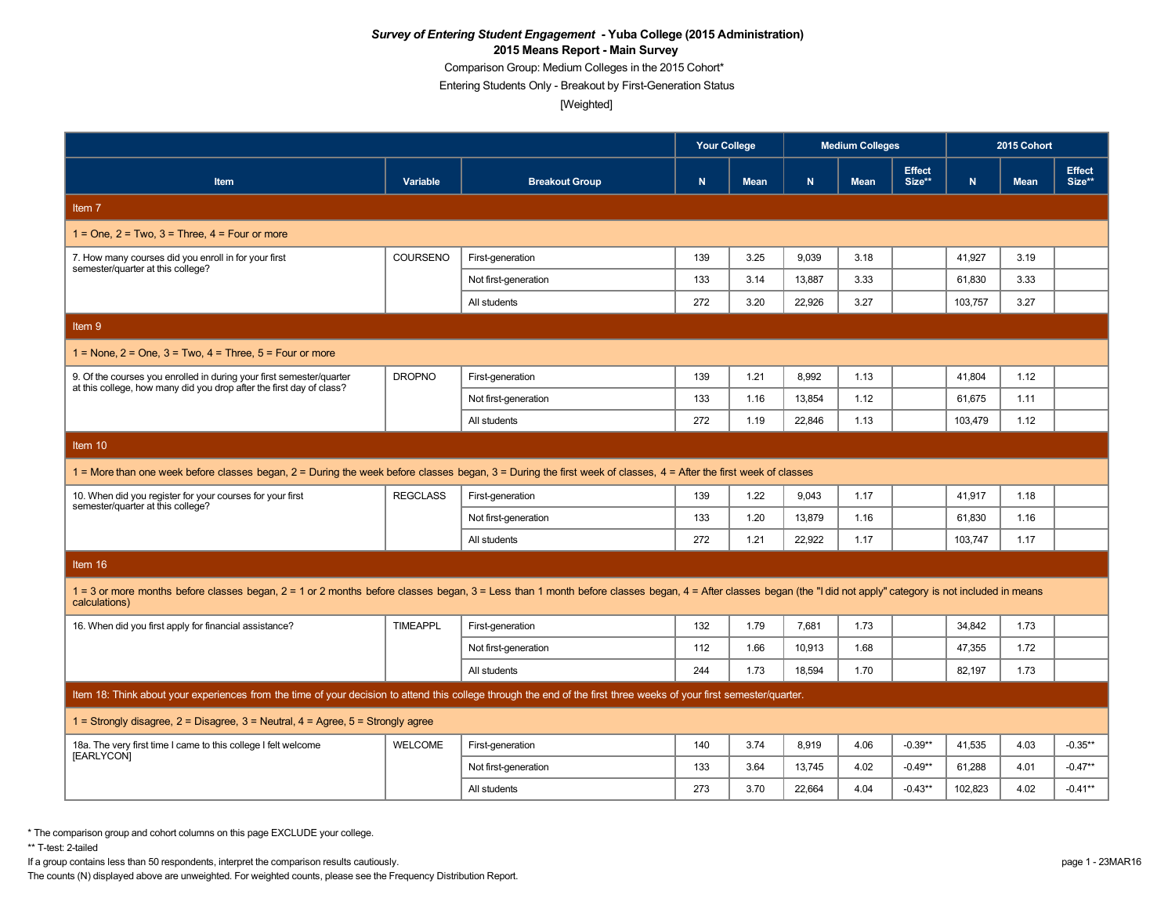Comparison Group: Medium Colleges in the 2015 Cohort\*

Entering Students Only - Breakout by First-Generation Status

[Weighted]

|                                                                                                                                                                                                                                  |                 |                       | <b>Your College</b> |             |        | <b>Medium Colleges</b> |                         | 2015 Cohort |             |                         |  |
|----------------------------------------------------------------------------------------------------------------------------------------------------------------------------------------------------------------------------------|-----------------|-----------------------|---------------------|-------------|--------|------------------------|-------------------------|-------------|-------------|-------------------------|--|
| <b>Item</b>                                                                                                                                                                                                                      | Variable        | <b>Breakout Group</b> | N                   | <b>Mean</b> | N.     | <b>Mean</b>            | <b>Effect</b><br>Size** | N.          | <b>Mean</b> | <b>Effect</b><br>Size** |  |
| Item 7                                                                                                                                                                                                                           |                 |                       |                     |             |        |                        |                         |             |             |                         |  |
| $1 =$ One. $2 =$ Two. $3 =$ Three. $4 =$ Four or more                                                                                                                                                                            |                 |                       |                     |             |        |                        |                         |             |             |                         |  |
| 7. How many courses did you enroll in for your first<br>semester/quarter at this college?                                                                                                                                        | COURSENO        | First-generation      | 139                 | 3.25        | 9,039  | 3.18                   |                         | 41,927      | 3.19        |                         |  |
|                                                                                                                                                                                                                                  |                 | Not first-generation  | 133                 | 3.14        | 13,887 | 3.33                   |                         | 61,830      | 3.33        |                         |  |
|                                                                                                                                                                                                                                  |                 | All students          | 272                 | 3.20        | 22.926 | 3.27                   |                         | 103.757     | 3.27        |                         |  |
| Item 9                                                                                                                                                                                                                           |                 |                       |                     |             |        |                        |                         |             |             |                         |  |
| $1 =$ None, $2 =$ One, $3 =$ Two, $4 =$ Three, $5 =$ Four or more                                                                                                                                                                |                 |                       |                     |             |        |                        |                         |             |             |                         |  |
| 9. Of the courses you enrolled in during your first semester/quarter                                                                                                                                                             | <b>DROPNO</b>   | First-generation      | 139                 | 1.21        | 8,992  | 1.13                   |                         | 41,804      | 1.12        |                         |  |
| at this college, how many did you drop after the first day of class?                                                                                                                                                             |                 | Not first-generation  | 133                 | 1.16        | 13,854 | 1.12                   |                         | 61,675      | 1.11        |                         |  |
|                                                                                                                                                                                                                                  |                 | All students          | 272                 | 1.19        | 22.846 | 1.13                   |                         | 103,479     | 1.12        |                         |  |
| Item 10                                                                                                                                                                                                                          |                 |                       |                     |             |        |                        |                         |             |             |                         |  |
| 1 = More than one week before classes began, 2 = During the week before classes began, 3 = During the first week of classes, 4 = After the first week of classes                                                                 |                 |                       |                     |             |        |                        |                         |             |             |                         |  |
| 10. When did you register for your courses for your first<br>semester/quarter at this college?                                                                                                                                   | <b>REGCLASS</b> | First-generation      | 139                 | 1.22        | 9,043  | 1.17                   |                         | 41,917      | 1.18        |                         |  |
|                                                                                                                                                                                                                                  |                 | Not first-generation  | 133                 | 1.20        | 13,879 | 1.16                   |                         | 61,830      | 1.16        |                         |  |
|                                                                                                                                                                                                                                  |                 | All students          | 272                 | 1.21        | 22.922 | 1.17                   |                         | 103,747     | 1.17        |                         |  |
| Item 16                                                                                                                                                                                                                          |                 |                       |                     |             |        |                        |                         |             |             |                         |  |
| 1 = 3 or more months before classes began, 2 = 1 or 2 months before classes began, 3 = Less than 1 month before classes began, 4 = After classes began (the "I did not apply" category is not included in means<br>calculations) |                 |                       |                     |             |        |                        |                         |             |             |                         |  |
| 16. When did you first apply for financial assistance?                                                                                                                                                                           | <b>TIMEAPPL</b> | First-generation      | 132                 | 1.79        | 7,681  | 1.73                   |                         | 34,842      | 1.73        |                         |  |
|                                                                                                                                                                                                                                  |                 | Not first-generation  | 112                 | 1.66        | 10,913 | 1.68                   |                         | 47,355      | 1.72        |                         |  |
|                                                                                                                                                                                                                                  |                 | All students          | 244                 | 1.73        | 18.594 | 1.70                   |                         | 82.197      | 1.73        |                         |  |
| Item 18: Think about your experiences from the time of your decision to attend this college through the end of the first three weeks of your first semester/quarter.                                                             |                 |                       |                     |             |        |                        |                         |             |             |                         |  |
| 1 = Strongly disagree, $2$ = Disagree, $3$ = Neutral, $4$ = Agree, $5$ = Strongly agree                                                                                                                                          |                 |                       |                     |             |        |                        |                         |             |             |                         |  |
| 18a. The very first time I came to this college I felt welcome<br>[EARLYCON]                                                                                                                                                     | <b>WELCOME</b>  | First-generation      | 140                 | 3.74        | 8.919  | 4.06                   | $-0.39**$               | 41,535      | 4.03        | $-0.35**$               |  |
|                                                                                                                                                                                                                                  |                 | Not first-generation  | 133                 | 3.64        | 13,745 | 4.02                   | $-0.49**$               | 61,288      | 4.01        | $-0.47**$               |  |
|                                                                                                                                                                                                                                  |                 | All students          | 273                 | 3.70        | 22.664 | 4.04                   | $-0.43**$               | 102.823     | 4.02        | $-0.41**$               |  |

\* The comparison group and cohort columns on this page EXCLUDE your college.

\*\* T-test: 2-tailed

If a group contains less than 50 respondents, interpret the comparison results cautiously. page 1 - 23MAR16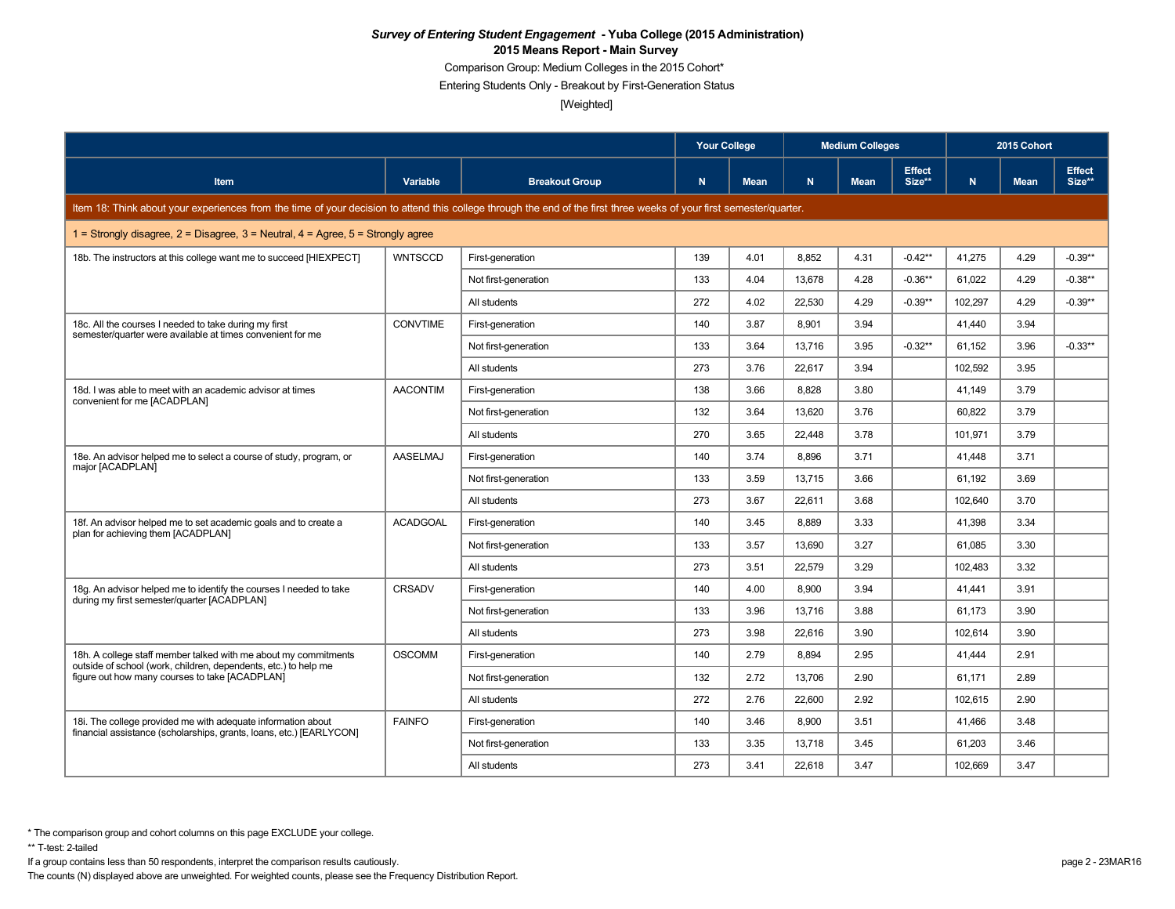Comparison Group: Medium Colleges in the 2015 Cohort\*

Entering Students Only - Breakout by First-Generation Status

[Weighted]

|                                                                                                                                                                      |                 | <b>Your College</b>   |     |             | <b>Medium Colleges</b> |             |                         | 2015 Cohort |             |                         |
|----------------------------------------------------------------------------------------------------------------------------------------------------------------------|-----------------|-----------------------|-----|-------------|------------------------|-------------|-------------------------|-------------|-------------|-------------------------|
| <b>Item</b>                                                                                                                                                          | Variable        | <b>Breakout Group</b> | N   | <b>Mean</b> | N.                     | <b>Mean</b> | <b>Effect</b><br>Size** | N.          | <b>Mean</b> | <b>Effect</b><br>Size** |
| Item 18: Think about your experiences from the time of your decision to attend this college through the end of the first three weeks of your first semester/quarter. |                 |                       |     |             |                        |             |                         |             |             |                         |
| 1 = Strongly disagree, $2$ = Disagree, $3$ = Neutral, $4$ = Agree, $5$ = Strongly agree                                                                              |                 |                       |     |             |                        |             |                         |             |             |                         |
| 18b. The instructors at this college want me to succeed [HIEXPECT]                                                                                                   | <b>WNTSCCD</b>  | First-generation      | 139 | 4.01        | 8.852                  | 4.31        | $-0.42**$               | 41.275      | 4.29        | $-0.39**$               |
|                                                                                                                                                                      |                 | Not first-generation  | 133 | 4.04        | 13,678                 | 4.28        | $-0.36**$               | 61,022      | 4.29        | $-0.38**$               |
|                                                                                                                                                                      |                 | All students          | 272 | 4.02        | 22,530                 | 4.29        | $-0.39**$               | 102,297     | 4.29        | $-0.39**$               |
| 18c. All the courses I needed to take during my first                                                                                                                | CONVTIME        | First-generation      | 140 | 3.87        | 8.901                  | 3.94        |                         | 41.440      | 3.94        |                         |
| semester/quarter were available at times convenient for me                                                                                                           |                 | Not first-generation  | 133 | 3.64        | 13,716                 | 3.95        | $-0.32**$               | 61,152      | 3.96        | $-0.33**$               |
|                                                                                                                                                                      |                 | All students          | 273 | 3.76        | 22.617                 | 3.94        |                         | 102.592     | 3.95        |                         |
| 18d. I was able to meet with an academic advisor at times                                                                                                            | <b>AACONTIM</b> | First-generation      | 138 | 3.66        | 8.828                  | 3.80        |                         | 41.149      | 3.79        |                         |
| convenient for me [ACADPLAN]                                                                                                                                         |                 | Not first-generation  | 132 | 3.64        | 13,620                 | 3.76        |                         | 60,822      | 3.79        |                         |
|                                                                                                                                                                      |                 | All students          | 270 | 3.65        | 22.448                 | 3.78        |                         | 101.971     | 3.79        |                         |
| 18e. An advisor helped me to select a course of study, program, or<br>major [ACADPLAN]                                                                               | AASELMAJ        | First-generation      | 140 | 3.74        | 8.896                  | 3.71        |                         | 41.448      | 3.71        |                         |
|                                                                                                                                                                      |                 | Not first-generation  | 133 | 3.59        | 13,715                 | 3.66        |                         | 61,192      | 3.69        |                         |
|                                                                                                                                                                      |                 | All students          | 273 | 3.67        | 22.611                 | 3.68        |                         | 102,640     | 3.70        |                         |
| 18f. An advisor helped me to set academic goals and to create a                                                                                                      | <b>ACADGOAL</b> | First-generation      | 140 | 3.45        | 8.889                  | 3.33        |                         | 41.398      | 3.34        |                         |
| plan for achieving them [ACADPLAN]                                                                                                                                   |                 | Not first-generation  | 133 | 3.57        | 13,690                 | 3.27        |                         | 61,085      | 3.30        |                         |
|                                                                                                                                                                      |                 | All students          | 273 | 3.51        | 22,579                 | 3.29        |                         | 102,483     | 3.32        |                         |
| 18g. An advisor helped me to identify the courses I needed to take                                                                                                   | <b>CRSADV</b>   | First-generation      | 140 | 4.00        | 8,900                  | 3.94        |                         | 41,441      | 3.91        |                         |
| during my first semester/quarter [ACADPLAN]                                                                                                                          |                 | Not first-generation  | 133 | 3.96        | 13.716                 | 3.88        |                         | 61.173      | 3.90        |                         |
|                                                                                                                                                                      |                 | All students          | 273 | 3.98        | 22,616                 | 3.90        |                         | 102,614     | 3.90        |                         |
| 18h. A college staff member talked with me about my commitments                                                                                                      | <b>OSCOMM</b>   | First-generation      | 140 | 2.79        | 8,894                  | 2.95        |                         | 41,444      | 2.91        |                         |
| outside of school (work, children, dependents, etc.) to help me<br>figure out how many courses to take [ACADPLAN]                                                    |                 | Not first-generation  | 132 | 2.72        | 13.706                 | 2.90        |                         | 61.171      | 2.89        |                         |
|                                                                                                                                                                      |                 | All students          | 272 | 2.76        | 22.600                 | 2.92        |                         | 102,615     | 2.90        |                         |
| 18i. The college provided me with adequate information about                                                                                                         | <b>FAINFO</b>   | First-generation      | 140 | 3.46        | 8,900                  | 3.51        |                         | 41,466      | 3.48        |                         |
| financial assistance (scholarships, grants, loans, etc.) [EARLYCON]                                                                                                  |                 | Not first-generation  | 133 | 3.35        | 13,718                 | 3.45        |                         | 61.203      | 3.46        |                         |
|                                                                                                                                                                      |                 | All students          | 273 | 3.41        | 22,618                 | 3.47        |                         | 102,669     | 3.47        |                         |

\*\* T-test: 2-tailed

If a group contains less than 50 respondents, interpret the comparison results cautiously. page 2 - 23MAR16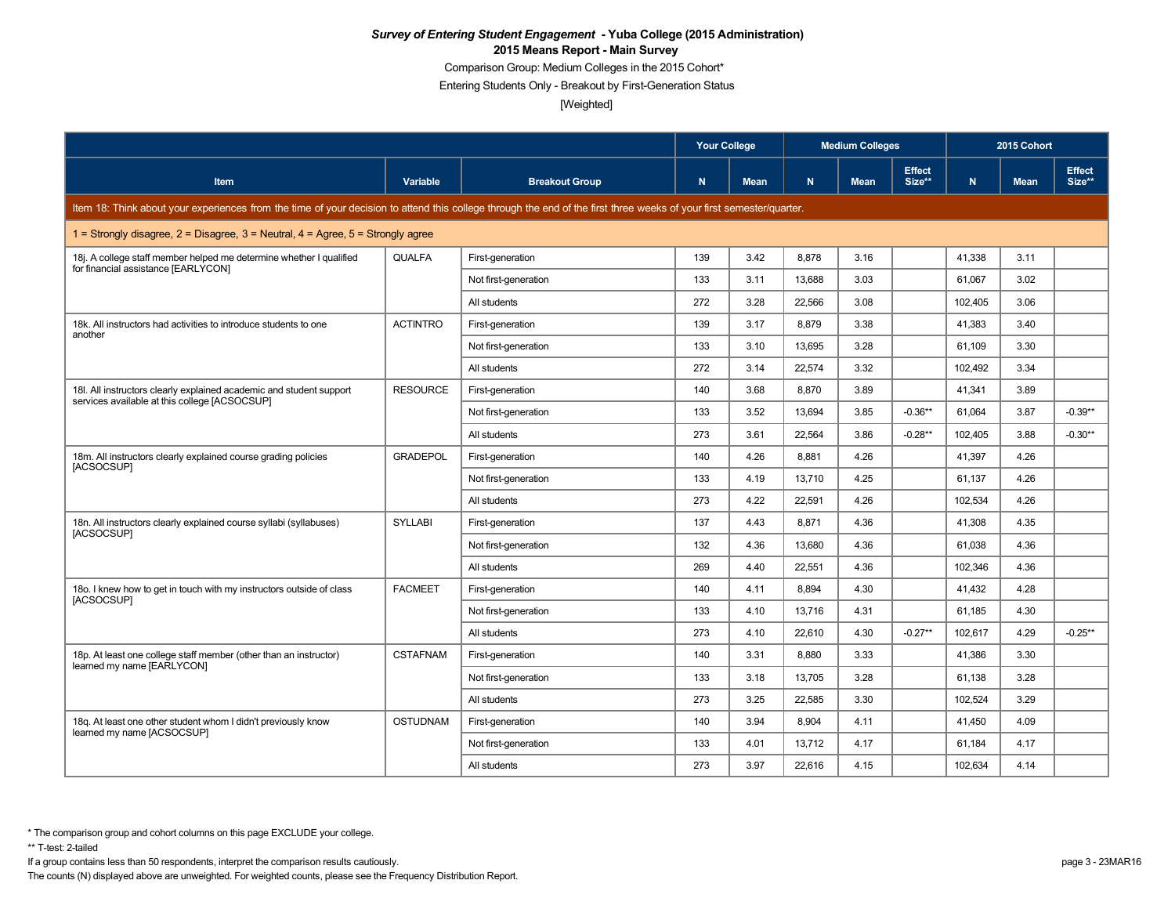Comparison Group: Medium Colleges in the 2015 Cohort\*

Entering Students Only - Breakout by First-Generation Status

[Weighted]

|                                                                                                                                                                      |                 | <b>Your College</b>   |     |             | <b>Medium Colleges</b><br><b>Effect</b><br>N<br>Size**<br><b>Mean</b><br>3.16 |      |           | 2015 Cohort |             |                         |
|----------------------------------------------------------------------------------------------------------------------------------------------------------------------|-----------------|-----------------------|-----|-------------|-------------------------------------------------------------------------------|------|-----------|-------------|-------------|-------------------------|
| <b>Item</b>                                                                                                                                                          | Variable        | <b>Breakout Group</b> | N   | <b>Mean</b> |                                                                               |      |           | N.          | <b>Mean</b> | <b>Effect</b><br>Size** |
| Item 18: Think about your experiences from the time of your decision to attend this college through the end of the first three weeks of your first semester/quarter. |                 |                       |     |             |                                                                               |      |           |             |             |                         |
| 1 = Strongly disagree, $2$ = Disagree, $3$ = Neutral, $4$ = Agree, $5$ = Strongly agree                                                                              |                 |                       |     |             |                                                                               |      |           |             |             |                         |
| 18. A college staff member helped me determine whether I qualified<br>for financial assistance [EARLYCON]                                                            | QUALFA          | First-generation      | 139 | 3.42        | 8.878                                                                         |      |           | 41.338      | 3.11        |                         |
|                                                                                                                                                                      |                 | Not first-generation  | 133 | 3.11        | 13,688                                                                        | 3.03 |           | 61,067      | 3.02        |                         |
|                                                                                                                                                                      |                 | All students          | 272 | 3.28        | 22,566                                                                        | 3.08 |           | 102,405     | 3.06        |                         |
| 18k. All instructors had activities to introduce students to one                                                                                                     | <b>ACTINTRO</b> | First-generation      | 139 | 3.17        | 8.879                                                                         | 3.38 |           | 41,383      | 3.40        |                         |
| another                                                                                                                                                              |                 | Not first-generation  | 133 | 3.10        | 13,695                                                                        | 3.28 |           | 61,109      | 3.30        |                         |
|                                                                                                                                                                      |                 | All students          | 272 | 3.14        | 22.574                                                                        | 3.32 |           | 102.492     | 3.34        |                         |
| 18I. All instructors clearly explained academic and student support                                                                                                  | <b>RESOURCE</b> | First-generation      | 140 | 3.68        | 8.870                                                                         | 3.89 |           | 41,341      | 3.89        |                         |
| services available at this college [ACSOCSUP]                                                                                                                        |                 | Not first-generation  | 133 | 3.52        | 13,694                                                                        | 3.85 | $-0.36**$ | 61,064      | 3.87        | $-0.39**$               |
|                                                                                                                                                                      |                 | All students          | 273 | 3.61        | 22.564                                                                        | 3.86 | $-0.28**$ | 102.405     | 3.88        | $-0.30**$               |
| 18m. All instructors clearly explained course grading policies                                                                                                       | <b>GRADEPOL</b> | First-generation      | 140 | 4.26        | 8,881                                                                         | 4.26 |           | 41,397      | 4.26        |                         |
| [ACSOCSUP]                                                                                                                                                           |                 | Not first-generation  | 133 | 4.19        | 13,710                                                                        | 4.25 |           | 61,137      | 4.26        |                         |
|                                                                                                                                                                      |                 | All students          | 273 | 4.22        | 22,591                                                                        | 4.26 |           | 102,534     | 4.26        |                         |
| 18n. All instructors clearly explained course syllabi (syllabuses)                                                                                                   | <b>SYLLABI</b>  | First-generation      | 137 | 4.43        | 8.871                                                                         | 4.36 |           | 41,308      | 4.35        |                         |
| [ACSOCSUP]                                                                                                                                                           |                 | Not first-generation  | 132 | 4.36        | 13,680                                                                        | 4.36 |           | 61,038      | 4.36        |                         |
|                                                                                                                                                                      |                 | All students          | 269 | 4.40        | 22,551                                                                        | 4.36 |           | 102,346     | 4.36        |                         |
| 180. I knew how to get in touch with my instructors outside of class                                                                                                 | <b>FACMEET</b>  | First-generation      | 140 | 4.11        | 8,894                                                                         | 4.30 |           | 41,432      | 4.28        |                         |
| [ACSOCSUP]                                                                                                                                                           |                 | Not first-generation  | 133 | 4.10        | 13.716                                                                        | 4.31 |           | 61.185      | 4.30        |                         |
|                                                                                                                                                                      |                 | All students          | 273 | 4.10        | 22,610                                                                        | 4.30 | $-0.27**$ | 102,617     | 4.29        | $-0.25**$               |
| 18p. At least one college staff member (other than an instructor)                                                                                                    | <b>CSTAFNAM</b> | First-generation      | 140 | 3.31        | 8,880                                                                         | 3.33 |           | 41,386      | 3.30        |                         |
| learned my name [EARLYCON]                                                                                                                                           |                 | Not first-generation  | 133 | 3.18        | 13.705                                                                        | 3.28 |           | 61.138      | 3.28        |                         |
|                                                                                                                                                                      |                 | All students          | 273 | 3.25        | 22,585                                                                        | 3.30 |           | 102,524     | 3.29        |                         |
| 18q. At least one other student whom I didn't previously know                                                                                                        | <b>OSTUDNAM</b> | First-generation      | 140 | 3.94        | 8,904                                                                         | 4.11 |           | 41,450      | 4.09        |                         |
| learned my name [ACSOCSUP]                                                                                                                                           |                 | Not first-generation  | 133 | 4.01        | 13,712                                                                        | 4.17 |           | 61,184      | 4.17        |                         |
|                                                                                                                                                                      |                 | All students          | 273 | 3.97        | 22,616                                                                        | 4.15 |           | 102,634     | 4.14        |                         |

\*\* T-test: 2-tailed

If a group contains less than 50 respondents, interpret the comparison results cautiously. page 3 - 23MAR16

The counts (N) displayed above are unweighted. For weighted counts, please see the Frequency Distribution Report.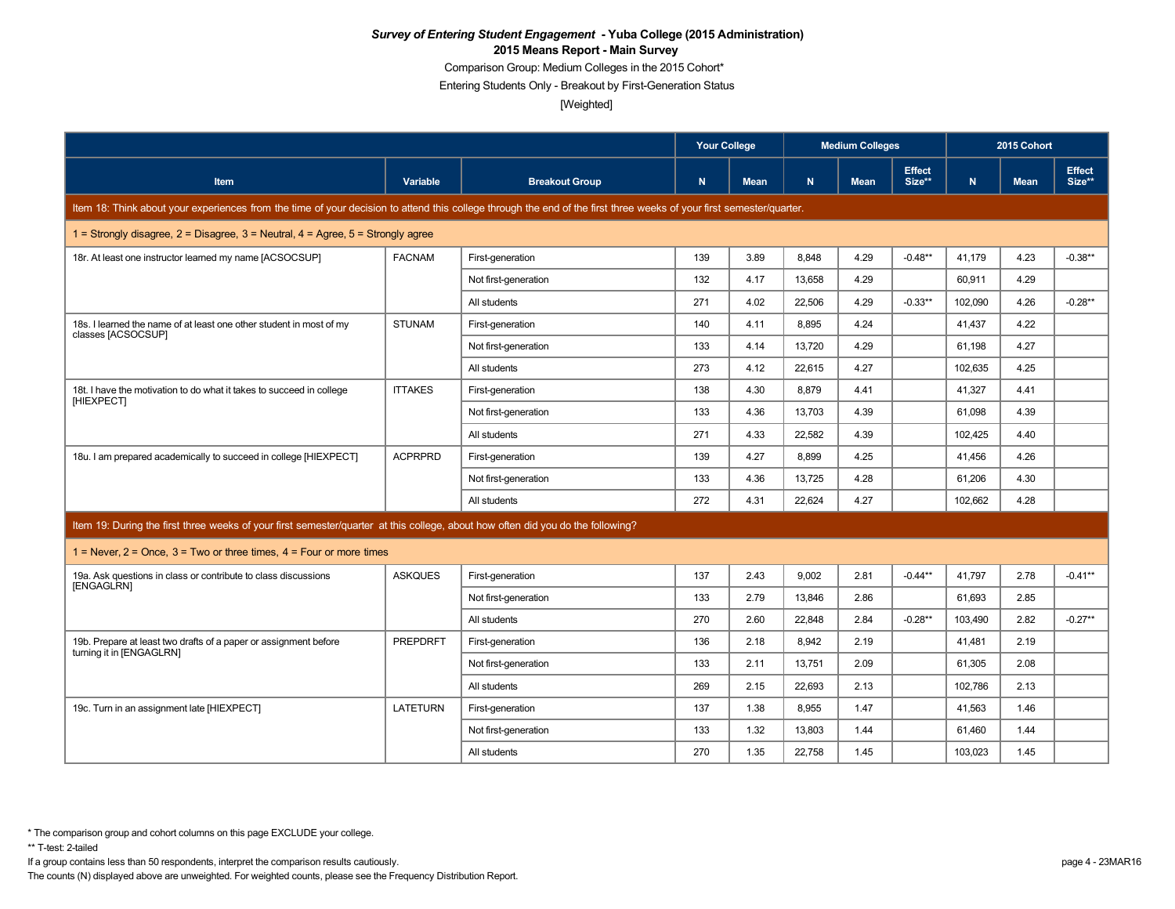Comparison Group: Medium Colleges in the 2015 Cohort\*

Entering Students Only - Breakout by First-Generation Status

[Weighted]

|                                                                                                                                                                      |                 |                       | <b>Your College</b> |      |        | <b>Medium Colleges</b> |                         |         | 2015 Cohort |                         |
|----------------------------------------------------------------------------------------------------------------------------------------------------------------------|-----------------|-----------------------|---------------------|------|--------|------------------------|-------------------------|---------|-------------|-------------------------|
| <b>Item</b>                                                                                                                                                          | Variable        | <b>Breakout Group</b> | N                   | Mean | N.     | <b>Mean</b>            | <b>Effect</b><br>Size** | N.      | <b>Mean</b> | <b>Effect</b><br>Size** |
| Item 18: Think about your experiences from the time of your decision to attend this college through the end of the first three weeks of your first semester/quarter. |                 |                       |                     |      |        |                        |                         |         |             |                         |
| 1 = Strongly disagree, $2$ = Disagree, $3$ = Neutral, $4$ = Agree, $5$ = Strongly agree                                                                              |                 |                       |                     |      |        |                        |                         |         |             |                         |
| 18r. At least one instructor learned my name [ACSOCSUP]                                                                                                              | <b>FACNAM</b>   | First-generation      | 139                 | 3.89 | 8,848  | 4.29                   | $-0.48**$               | 41,179  | 4.23        | $-0.38**$               |
|                                                                                                                                                                      |                 | Not first-generation  | 132                 | 4.17 | 13,658 | 4.29                   |                         | 60,911  | 4.29        |                         |
|                                                                                                                                                                      |                 | All students          | 271                 | 4.02 | 22.506 | 4.29                   | $-0.33**$               | 102.090 | 4.26        | $-0.28**$               |
| 18s. I learned the name of at least one other student in most of my<br>classes [ACSOCSUP]                                                                            | <b>STUNAM</b>   | First-generation      | 140                 | 4.11 | 8.895  | 4.24                   |                         | 41,437  | 4.22        |                         |
|                                                                                                                                                                      |                 | Not first-generation  | 133                 | 4.14 | 13,720 | 4.29                   |                         | 61,198  | 4.27        |                         |
|                                                                                                                                                                      |                 | All students          | 273                 | 4.12 | 22,615 | 4.27                   |                         | 102,635 | 4.25        |                         |
| 18t. I have the motivation to do what it takes to succeed in college                                                                                                 | <b>ITTAKES</b>  | First-generation      | 138                 | 4.30 | 8,879  | 4.41                   |                         | 41,327  | 4.41        |                         |
| [HIEXPECT]                                                                                                                                                           |                 | Not first-generation  | 133                 | 4.36 | 13,703 | 4.39                   |                         | 61.098  | 4.39        |                         |
|                                                                                                                                                                      |                 | All students          | 271                 | 4.33 | 22,582 | 4.39                   |                         | 102,425 | 4.40        |                         |
| 18u. I am prepared academically to succeed in college [HIEXPECT]                                                                                                     | <b>ACPRPRD</b>  | First-generation      | 139                 | 4.27 | 8,899  | 4.25                   |                         | 41,456  | 4.26        |                         |
|                                                                                                                                                                      |                 | Not first-generation  | 133                 | 4.36 | 13,725 | 4.28                   |                         | 61,206  | 4.30        |                         |
|                                                                                                                                                                      |                 | All students          | 272                 | 4.31 | 22,624 | 4.27                   |                         | 102,662 | 4.28        |                         |
| Item 19: During the first three weeks of your first semester/quarter at this college, about how often did you do the following?                                      |                 |                       |                     |      |        |                        |                         |         |             |                         |
| 1 = Never, $2$ = Once, $3$ = Two or three times, $4$ = Four or more times                                                                                            |                 |                       |                     |      |        |                        |                         |         |             |                         |
| 19a. Ask questions in class or contribute to class discussions                                                                                                       | <b>ASKQUES</b>  | First-generation      | 137                 | 2.43 | 9,002  | 2.81                   | $-0.44**$               | 41,797  | 2.78        | $-0.41**$               |
| [ENGAGLRN]                                                                                                                                                           |                 | Not first-generation  | 133                 | 2.79 | 13,846 | 2.86                   |                         | 61.693  | 2.85        |                         |
|                                                                                                                                                                      |                 | All students          | 270                 | 2.60 | 22,848 | 2.84                   | $-0.28**$               | 103,490 | 2.82        | $-0.27**$               |
| 19b. Prepare at least two drafts of a paper or assignment before                                                                                                     | <b>PREPDRFT</b> | First-generation      | 136                 | 2.18 | 8.942  | 2.19                   |                         | 41.481  | 2.19        |                         |
| turning it in [ENGAGLRN]                                                                                                                                             |                 | Not first-generation  | 133                 | 2.11 | 13,751 | 2.09                   |                         | 61,305  | 2.08        |                         |
|                                                                                                                                                                      |                 | All students          | 269                 | 2.15 | 22,693 | 2.13                   |                         | 102,786 | 2.13        |                         |
| 19c. Turn in an assignment late [HIEXPECT]                                                                                                                           | LATETURN        | First-generation      | 137                 | 1.38 | 8.955  | 1.47                   |                         | 41.563  | 1.46        |                         |
|                                                                                                                                                                      |                 | Not first-generation  | 133                 | 1.32 | 13,803 | 1.44                   |                         | 61,460  | 1.44        |                         |
|                                                                                                                                                                      |                 | All students          | 270                 | 1.35 | 22,758 | 1.45                   |                         | 103.023 | 1.45        |                         |

If a group contains less than 50 respondents, interpret the comparison results cautiously. page 4 - 23MAR16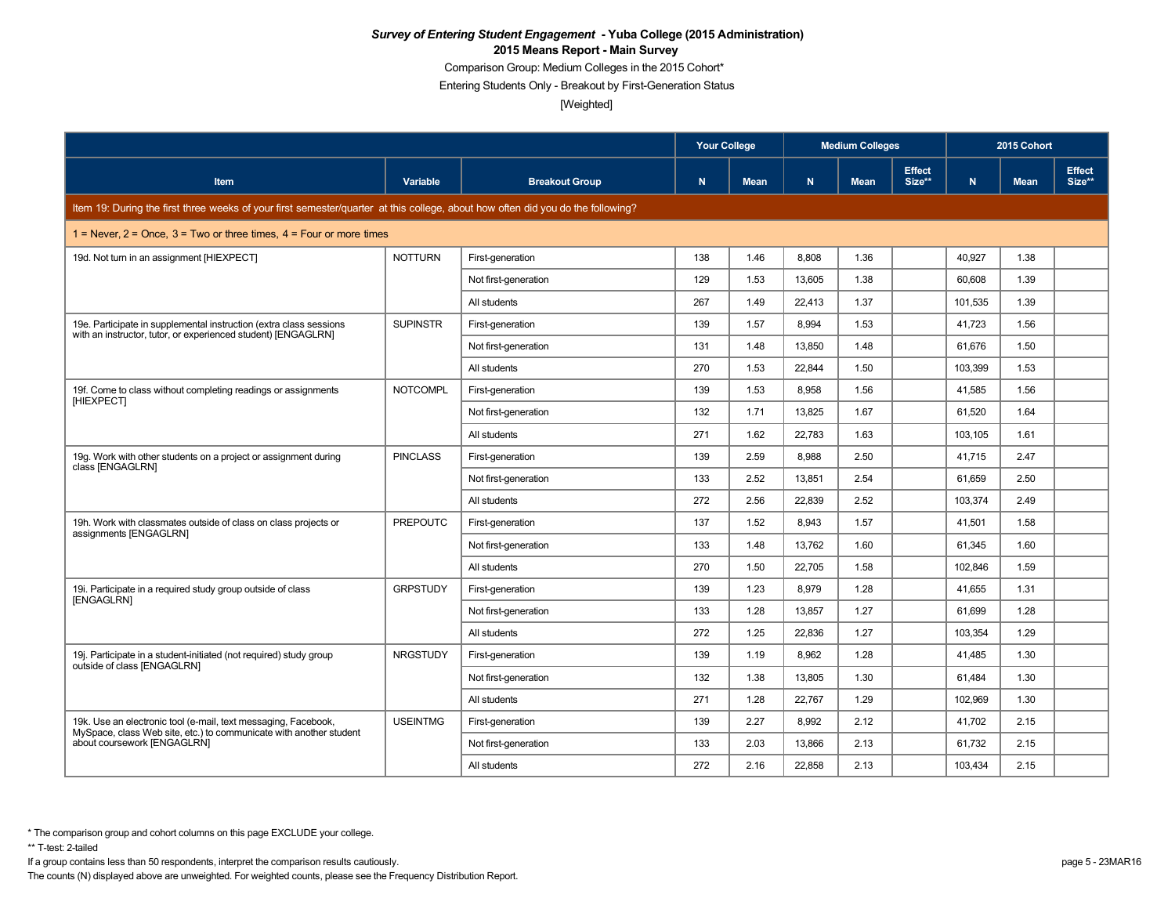Comparison Group: Medium Colleges in the 2015 Cohort\*

Entering Students Only - Breakout by First-Generation Status

[Weighted]

|                                                                                                                                 |                 |                       | <b>Your College</b> |             |        | <b>Medium Colleges</b> |                         | 2015 Cohort |             |                         |
|---------------------------------------------------------------------------------------------------------------------------------|-----------------|-----------------------|---------------------|-------------|--------|------------------------|-------------------------|-------------|-------------|-------------------------|
| <b>Item</b>                                                                                                                     | Variable        | <b>Breakout Group</b> | N                   | <b>Mean</b> | N      | <b>Mean</b>            | <b>Effect</b><br>Size** | N.          | <b>Mean</b> | <b>Effect</b><br>Size** |
| Item 19: During the first three weeks of your first semester/quarter at this college, about how often did you do the following? |                 |                       |                     |             |        |                        |                         |             |             |                         |
| 1 = Never, $2$ = Once, $3$ = Two or three times, $4$ = Four or more times                                                       |                 |                       |                     |             |        |                        |                         |             |             |                         |
| 19d. Not turn in an assignment [HIEXPECT]                                                                                       | <b>NOTTURN</b>  | First-generation      | 138                 | 1.46        | 8,808  | 1.36                   |                         | 40,927      | 1.38        |                         |
|                                                                                                                                 |                 | Not first-generation  | 129                 | 1.53        | 13,605 | 1.38                   |                         | 60,608      | 1.39        |                         |
|                                                                                                                                 |                 | All students          | 267                 | 1.49        | 22,413 | 1.37                   |                         | 101,535     | 1.39        |                         |
| 19e. Participate in supplemental instruction (extra class sessions                                                              | <b>SUPINSTR</b> | First-generation      | 139                 | 1.57        | 8.994  | 1.53                   |                         | 41,723      | 1.56        |                         |
| with an instructor, tutor, or experienced student) [ENGAGLRN]                                                                   |                 | Not first-generation  | 131                 | 1.48        | 13,850 | 1.48                   |                         | 61,676      | 1.50        |                         |
|                                                                                                                                 |                 | All students          | 270                 | 1.53        | 22.844 | 1.50                   |                         | 103.399     | 1.53        |                         |
| 19f. Come to class without completing readings or assignments                                                                   | <b>NOTCOMPL</b> | First-generation      | 139                 | 1.53        | 8,958  | 1.56                   |                         | 41,585      | 1.56        |                         |
| [HIEXPECT]                                                                                                                      |                 | Not first-generation  | 132                 | 1.71        | 13.825 | 1.67                   |                         | 61,520      | 1.64        |                         |
|                                                                                                                                 |                 | All students          | 271                 | 1.62        | 22,783 | 1.63                   |                         | 103,105     | 1.61        |                         |
| 19g. Work with other students on a project or assignment during                                                                 | <b>PINCLASS</b> | First-generation      | 139                 | 2.59        | 8.988  | 2.50                   |                         | 41.715      | 2.47        |                         |
| class [ENGAGLRN]                                                                                                                |                 | Not first-generation  | 133                 | 2.52        | 13,851 | 2.54                   |                         | 61,659      | 2.50        |                         |
|                                                                                                                                 |                 | All students          | 272                 | 2.56        | 22,839 | 2.52                   |                         | 103,374     | 2.49        |                         |
| 19h. Work with classmates outside of class on class projects or<br>assignments [ENGAGLRN]                                       | <b>PREPOUTC</b> | First-generation      | 137                 | 1.52        | 8.943  | 1.57                   |                         | 41,501      | 1.58        |                         |
|                                                                                                                                 |                 | Not first-generation  | 133                 | 1.48        | 13,762 | 1.60                   |                         | 61,345      | 1.60        |                         |
|                                                                                                                                 |                 | All students          | 270                 | 1.50        | 22,705 | 1.58                   |                         | 102,846     | 1.59        |                         |
| 19i. Participate in a required study group outside of class<br>[ENGAGLRN]                                                       | <b>GRPSTUDY</b> | First-generation      | 139                 | 1.23        | 8,979  | 1.28                   |                         | 41,655      | 1.31        |                         |
|                                                                                                                                 |                 | Not first-generation  | 133                 | 1.28        | 13.857 | 1.27                   |                         | 61.699      | 1.28        |                         |
|                                                                                                                                 |                 | All students          | 272                 | 1.25        | 22,836 | 1.27                   |                         | 103,354     | 1.29        |                         |
| 19. Participate in a student-initiated (not required) study group                                                               | <b>NRGSTUDY</b> | First-generation      | 139                 | 1.19        | 8.962  | 1.28                   |                         | 41,485      | 1.30        |                         |
| outside of class [ENGAGLRN]                                                                                                     |                 | Not first-generation  | 132                 | 1.38        | 13,805 | 1.30                   |                         | 61,484      | 1.30        |                         |
|                                                                                                                                 |                 | All students          | 271                 | 1.28        | 22.767 | 1.29                   |                         | 102.969     | 1.30        |                         |
| 19k. Use an electronic tool (e-mail, text messaging, Facebook,                                                                  | <b>USEINTMG</b> | First-generation      | 139                 | 2.27        | 8,992  | 2.12                   |                         | 41,702      | 2.15        |                         |
| MySpace, class Web site, etc.) to communicate with another student<br>about coursework [ENGAGLRN]                               |                 | Not first-generation  | 133                 | 2.03        | 13.866 | 2.13                   |                         | 61.732      | 2.15        |                         |
|                                                                                                                                 |                 | All students          | 272                 | 2.16        | 22,858 | 2.13                   |                         | 103,434     | 2.15        |                         |

\*\* T-test: 2-tailed

If a group contains less than 50 respondents, interpret the comparison results cautiously. page 5 - 23MAR16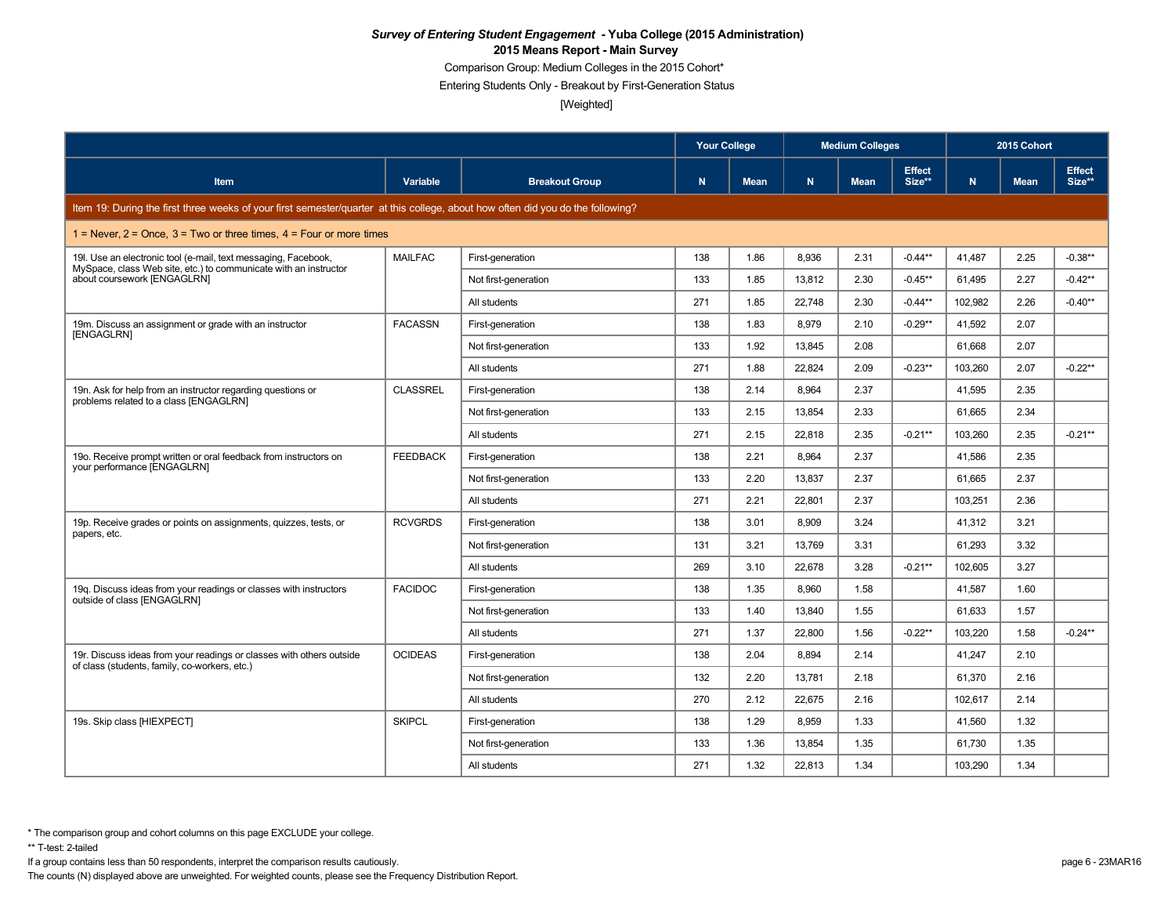Comparison Group: Medium Colleges in the 2015 Cohort\*

Entering Students Only - Breakout by First-Generation Status

[Weighted]

|                                                                                                                                    |                 |                       | <b>Your College</b> |             | <b>Medium Colleges</b> |             |                         | 2015 Cohort |             |                         |
|------------------------------------------------------------------------------------------------------------------------------------|-----------------|-----------------------|---------------------|-------------|------------------------|-------------|-------------------------|-------------|-------------|-------------------------|
| <b>Item</b>                                                                                                                        | Variable        | <b>Breakout Group</b> | N                   | <b>Mean</b> | N.                     | <b>Mean</b> | <b>Effect</b><br>Size** | N.          | <b>Mean</b> | <b>Effect</b><br>Size** |
| Item 19: During the first three weeks of your first semester/quarter at this college, about how often did you do the following?    |                 |                       |                     |             |                        |             |                         |             |             |                         |
| 1 = Never, $2$ = Once, $3$ = Two or three times, $4$ = Four or more times                                                          |                 |                       |                     |             |                        |             |                         |             |             |                         |
| 19I. Use an electronic tool (e-mail, text messaging, Facebook,<br>MySpace, class Web site, etc.) to communicate with an instructor | <b>MAILFAC</b>  | First-generation      | 138                 | 1.86        | 8,936                  | 2.31        | $-0.44**$               | 41,487      | 2.25        | $-0.38**$               |
| about coursework [ENGAGLRN]                                                                                                        |                 | Not first-generation  | 133                 | 1.85        | 13,812                 | 2.30        | $-0.45**$               | 61,495      | 2.27        | $-0.42**$               |
|                                                                                                                                    |                 | All students          | 271                 | 1.85        | 22,748                 | 2.30        | $-0.44**$               | 102,982     | 2.26        | $-0.40**$               |
| 19m. Discuss an assignment or grade with an instructor                                                                             | <b>FACASSN</b>  | First-generation      | 138                 | 1.83        | 8,979                  | 2.10        | $-0.29**$               | 41,592      | 2.07        |                         |
| [ENGAGLRN]                                                                                                                         |                 | Not first-generation  | 133                 | 1.92        | 13,845                 | 2.08        |                         | 61,668      | 2.07        |                         |
|                                                                                                                                    |                 | All students          | 271                 | 1.88        | 22,824                 | 2.09        | $-0.23**$               | 103,260     | 2.07        | $-0.22**$               |
| 19n. Ask for help from an instructor regarding questions or                                                                        | CLASSREL        | First-generation      | 138                 | 2.14        | 8.964                  | 2.37        |                         | 41.595      | 2.35        |                         |
| problems related to a class [ENGAGLRN]                                                                                             |                 | Not first-generation  | 133                 | 2.15        | 13,854                 | 2.33        |                         | 61,665      | 2.34        |                         |
|                                                                                                                                    |                 | All students          | 271                 | 2.15        | 22.818                 | 2.35        | $-0.21**$               | 103.260     | 2.35        | $-0.21**$               |
| 190. Receive prompt written or oral feedback from instructors on                                                                   | <b>FEEDBACK</b> | First-generation      | 138                 | 2.21        | 8,964                  | 2.37        |                         | 41.586      | 2.35        |                         |
| your performance [ENGAGLRN]                                                                                                        |                 | Not first-generation  | 133                 | 2.20        | 13,837                 | 2.37        |                         | 61,665      | 2.37        |                         |
|                                                                                                                                    |                 | All students          | 271                 | 2.21        | 22,801                 | 2.37        |                         | 103,251     | 2.36        |                         |
| 19p. Receive grades or points on assignments, quizzes, tests, or                                                                   | <b>RCVGRDS</b>  | First-generation      | 138                 | 3.01        | 8,909                  | 3.24        |                         | 41,312      | 3.21        |                         |
| papers, etc.                                                                                                                       |                 | Not first-generation  | 131                 | 3.21        | 13.769                 | 3.31        |                         | 61.293      | 3.32        |                         |
|                                                                                                                                    |                 | All students          | 269                 | 3.10        | 22,678                 | 3.28        | $-0.21**$               | 102,605     | 3.27        |                         |
| 19g. Discuss ideas from your readings or classes with instructors                                                                  | <b>FACIDOC</b>  | First-generation      | 138                 | 1.35        | 8.960                  | 1.58        |                         | 41,587      | 1.60        |                         |
| outside of class [ENGAGLRN]                                                                                                        |                 | Not first-generation  | 133                 | 1.40        | 13,840                 | 1.55        |                         | 61,633      | 1.57        |                         |
|                                                                                                                                    |                 | All students          | 271                 | 1.37        | 22.800                 | 1.56        | $-0.22**$               | 103,220     | 1.58        | $-0.24**$               |
| 19r. Discuss ideas from your readings or classes with others outside                                                               | <b>OCIDEAS</b>  | First-generation      | 138                 | 2.04        | 8.894                  | 2.14        |                         | 41,247      | 2.10        |                         |
| of class (students, family, co-workers, etc.)                                                                                      |                 | Not first-generation  | 132                 | 2.20        | 13,781                 | 2.18        |                         | 61,370      | 2.16        |                         |
|                                                                                                                                    |                 | All students          | 270                 | 2.12        | 22,675                 | 2.16        |                         | 102,617     | 2.14        |                         |
| 19s. Skip class [HIEXPECT]                                                                                                         | <b>SKIPCL</b>   | First-generation      | 138                 | 1.29        | 8,959                  | 1.33        |                         | 41,560      | 1.32        |                         |
|                                                                                                                                    |                 | Not first-generation  | 133                 | 1.36        | 13,854                 | 1.35        |                         | 61,730      | 1.35        |                         |
|                                                                                                                                    |                 | All students          | 271                 | 1.32        | 22,813                 | 1.34        |                         | 103,290     | 1.34        |                         |

\*\* T-test: 2-tailed

If a group contains less than 50 respondents, interpret the comparison results cautiously. page 6 - 23MAR16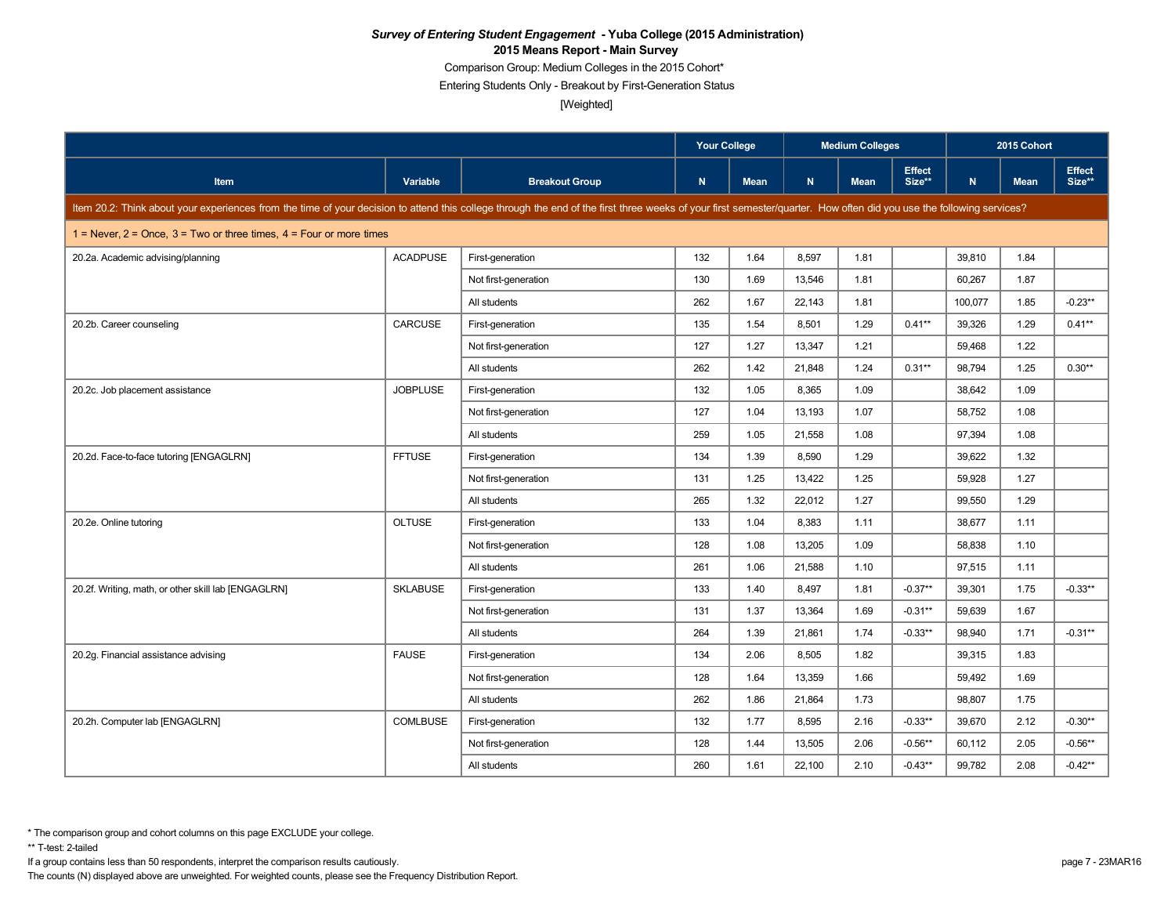Comparison Group: Medium Colleges in the 2015 Cohort\*

Entering Students Only - Breakout by First-Generation Status

[Weighted]

|                                                                                                                                                                                                                      |                 |                       | <b>Your College</b> |             | <b>Medium Colleges</b> |             |                         | 2015 Cohort |             |                         |
|----------------------------------------------------------------------------------------------------------------------------------------------------------------------------------------------------------------------|-----------------|-----------------------|---------------------|-------------|------------------------|-------------|-------------------------|-------------|-------------|-------------------------|
| <b>Item</b>                                                                                                                                                                                                          | Variable        | <b>Breakout Group</b> | N                   | <b>Mean</b> | N.                     | <b>Mean</b> | <b>Effect</b><br>Size** | N.          | <b>Mean</b> | <b>Effect</b><br>Size** |
| Item 20.2: Think about your experiences from the time of your decision to attend this college through the end of the first three weeks of your first semester/quarter. How often did you use the following services? |                 |                       |                     |             |                        |             |                         |             |             |                         |
| 1 = Never, $2$ = Once, $3$ = Two or three times, $4$ = Four or more times                                                                                                                                            |                 |                       |                     |             |                        |             |                         |             |             |                         |
| 20.2a. Academic advising/planning                                                                                                                                                                                    | <b>ACADPUSE</b> | First-generation      | 132                 | 1.64        | 8,597                  | 1.81        |                         | 39,810      | 1.84        |                         |
|                                                                                                                                                                                                                      |                 | Not first-generation  | 130                 | 1.69        | 13,546                 | 1.81        |                         | 60,267      | 1.87        |                         |
|                                                                                                                                                                                                                      |                 | All students          | 262                 | 1.67        | 22.143                 | 1.81        |                         | 100.077     | 1.85        | $-0.23**$               |
| 20.2b. Career counseling                                                                                                                                                                                             | CARCUSE         | First-generation      | 135                 | 1.54        | 8,501                  | 1.29        | $0.41**$                | 39,326      | 1.29        | $0.41**$                |
|                                                                                                                                                                                                                      |                 | Not first-generation  | 127                 | 1.27        | 13,347                 | 1.21        |                         | 59,468      | 1.22        |                         |
|                                                                                                                                                                                                                      |                 | All students          | 262                 | 1.42        | 21,848                 | 1.24        | $0.31**$                | 98.794      | 1.25        | $0.30**$                |
| 20.2c. Job placement assistance                                                                                                                                                                                      | <b>JOBPLUSE</b> | First-generation      | 132                 | 1.05        | 8,365                  | 1.09        |                         | 38,642      | 1.09        |                         |
|                                                                                                                                                                                                                      |                 | Not first-generation  | 127                 | 1.04        | 13,193                 | 1.07        |                         | 58,752      | 1.08        |                         |
|                                                                                                                                                                                                                      |                 | All students          | 259                 | 1.05        | 21,558                 | 1.08        |                         | 97,394      | 1.08        |                         |
| 20.2d. Face-to-face tutoring [ENGAGLRN]                                                                                                                                                                              | <b>FFTUSE</b>   | First-generation      | 134                 | 1.39        | 8.590                  | 1.29        |                         | 39.622      | 1.32        |                         |
|                                                                                                                                                                                                                      |                 | Not first-generation  | 131                 | 1.25        | 13,422                 | 1.25        |                         | 59,928      | 1.27        |                         |
|                                                                                                                                                                                                                      |                 | All students          | 265                 | 1.32        | 22,012                 | 1.27        |                         | 99,550      | 1.29        |                         |
| 20.2e. Online tutoring                                                                                                                                                                                               | <b>OLTUSE</b>   | First-generation      | 133                 | 1.04        | 8.383                  | 1.11        |                         | 38.677      | 1.11        |                         |
|                                                                                                                                                                                                                      |                 | Not first-generation  | 128                 | 1.08        | 13,205                 | 1.09        |                         | 58,838      | 1.10        |                         |
|                                                                                                                                                                                                                      |                 | All students          | 261                 | 1.06        | 21,588                 | 1.10        |                         | 97,515      | 1.11        |                         |
| 20.2f. Writing, math, or other skill lab [ENGAGLRN]                                                                                                                                                                  | <b>SKLABUSE</b> | First-generation      | 133                 | 1.40        | 8,497                  | 1.81        | $-0.37**$               | 39,301      | 1.75        | $-0.33**$               |
|                                                                                                                                                                                                                      |                 | Not first-generation  | 131                 | 1.37        | 13,364                 | 1.69        | $-0.31**$               | 59,639      | 1.67        |                         |
|                                                                                                                                                                                                                      |                 | All students          | 264                 | 1.39        | 21,861                 | 1.74        | $-0.33**$               | 98,940      | 1.71        | $-0.31**$               |
| 20.2g. Financial assistance advising                                                                                                                                                                                 | <b>FAUSE</b>    | First-generation      | 134                 | 2.06        | 8,505                  | 1.82        |                         | 39,315      | 1.83        |                         |
|                                                                                                                                                                                                                      |                 | Not first-generation  | 128                 | 1.64        | 13,359                 | 1.66        |                         | 59.492      | 1.69        |                         |
|                                                                                                                                                                                                                      |                 | All students          | 262                 | 1.86        | 21.864                 | 1.73        |                         | 98,807      | 1.75        |                         |
| 20.2h. Computer lab [ENGAGLRN]                                                                                                                                                                                       | <b>COMLBUSE</b> | First-generation      | 132                 | 1.77        | 8,595                  | 2.16        | $-0.33**$               | 39,670      | 2.12        | $-0.30**$               |
|                                                                                                                                                                                                                      |                 | Not first-generation  | 128                 | 1.44        | 13,505                 | 2.06        | $-0.56**$               | 60,112      | 2.05        | $-0.56**$               |
|                                                                                                                                                                                                                      |                 | All students          | 260                 | 1.61        | 22,100                 | 2.10        | $-0.43**$               | 99,782      | 2.08        | $-0.42**$               |

\*\* T-test: 2-tailed

If a group contains less than 50 respondents, interpret the comparison results cautiously. page 7 - 23MAR16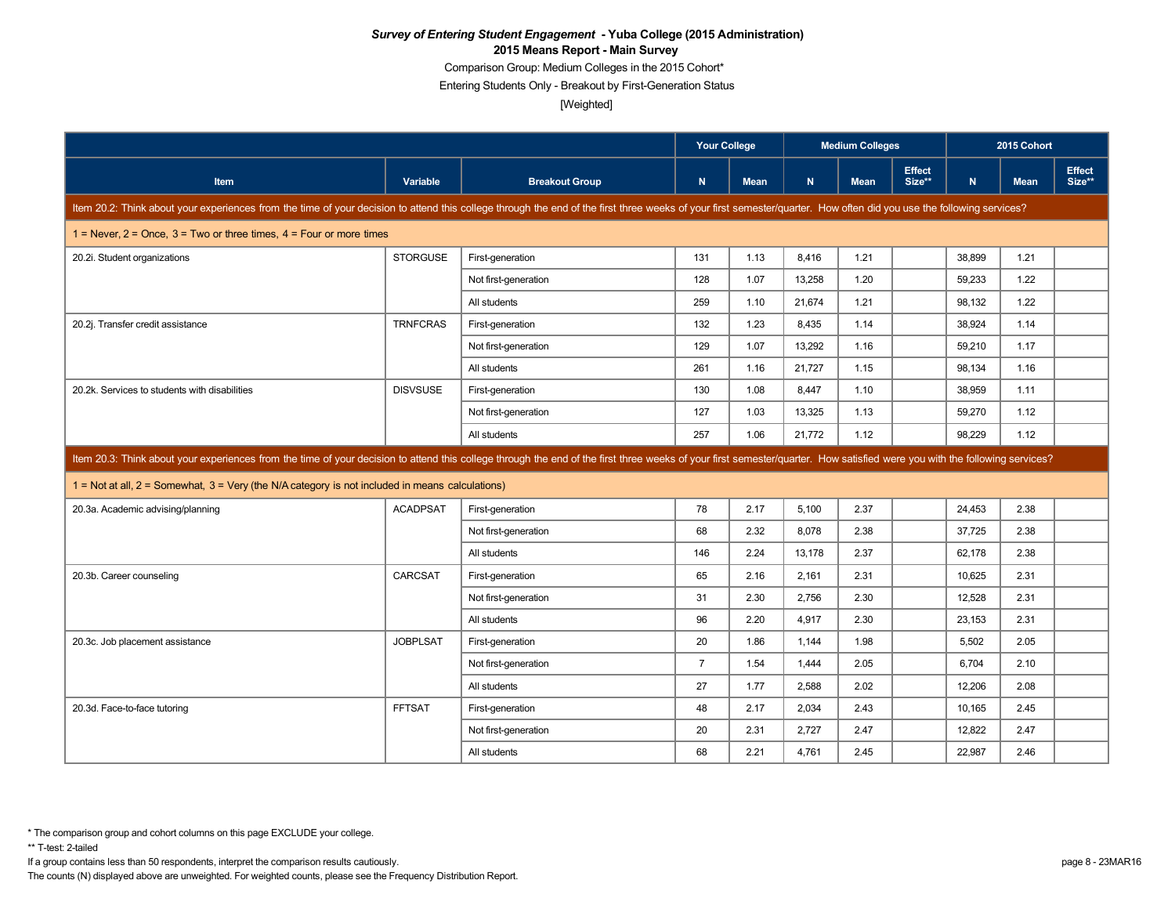Comparison Group: Medium Colleges in the 2015 Cohort\*

Entering Students Only - Breakout by First-Generation Status

[Weighted]

|                                                                                                                                                                                                                            |                 |                       | <b>Your College</b> |             |        | <b>Medium Colleges</b> |                         | 2015 Cohort  |             |                  |
|----------------------------------------------------------------------------------------------------------------------------------------------------------------------------------------------------------------------------|-----------------|-----------------------|---------------------|-------------|--------|------------------------|-------------------------|--------------|-------------|------------------|
| Item                                                                                                                                                                                                                       | Variable        | <b>Breakout Group</b> | $\mathbf N$         | <b>Mean</b> | N      | <b>Mean</b>            | <b>Effect</b><br>Size** | $\mathbf{N}$ | <b>Mean</b> | Effect<br>Size** |
| Item 20.2: Think about your experiences from the time of your decision to attend this college through the end of the first three weeks of your first semester/quarter. How often did you use the following services?       |                 |                       |                     |             |        |                        |                         |              |             |                  |
| 1 = Never, $2$ = Once, $3$ = Two or three times, $4$ = Four or more times                                                                                                                                                  |                 |                       |                     |             |        |                        |                         |              |             |                  |
| 20.2i. Student organizations                                                                                                                                                                                               | <b>STORGUSE</b> | First-generation      | 131                 | 1.13        | 8.416  | 1.21                   |                         | 38.899       | 1.21        |                  |
|                                                                                                                                                                                                                            |                 | Not first-generation  | 128                 | 1.07        | 13,258 | 1.20                   |                         | 59,233       | 1.22        |                  |
|                                                                                                                                                                                                                            |                 | All students          | 259                 | 1.10        | 21,674 | 1.21                   |                         | 98,132       | 1.22        |                  |
| 20.2j. Transfer credit assistance                                                                                                                                                                                          | <b>TRNFCRAS</b> | First-generation      | 132                 | 1.23        | 8,435  | 1.14                   |                         | 38,924       | 1.14        |                  |
|                                                                                                                                                                                                                            |                 | Not first-generation  | 129                 | 1.07        | 13,292 | 1.16                   |                         | 59,210       | 1.17        |                  |
|                                                                                                                                                                                                                            |                 | All students          | 261                 | 1.16        | 21.727 | 1.15                   |                         | 98,134       | 1.16        |                  |
| 20.2k. Services to students with disabilities                                                                                                                                                                              | <b>DISVSUSE</b> | First-generation      | 130                 | 1.08        | 8,447  | 1.10                   |                         | 38,959       | 1.11        |                  |
|                                                                                                                                                                                                                            |                 | Not first-generation  | 127                 | 1.03        | 13,325 | 1.13                   |                         | 59,270       | 1.12        |                  |
|                                                                                                                                                                                                                            |                 | All students          | 257                 | 1.06        | 21,772 | 1.12                   |                         | 98,229       | 1.12        |                  |
| Item 20.3: Think about your experiences from the time of your decision to attend this college through the end of the first three weeks of your first semester/quarter. How satisfied were you with the following services? |                 |                       |                     |             |        |                        |                         |              |             |                  |
| $1 =$ Not at all, $2 =$ Somewhat, $3 =$ Very (the N/A category is not included in means calculations)                                                                                                                      |                 |                       |                     |             |        |                        |                         |              |             |                  |
| 20.3a. Academic advising/planning                                                                                                                                                                                          | <b>ACADPSAT</b> | First-generation      | 78                  | 2.17        | 5,100  | 2.37                   |                         | 24,453       | 2.38        |                  |
|                                                                                                                                                                                                                            |                 | Not first-generation  | 68                  | 2.32        | 8.078  | 2.38                   |                         | 37,725       | 2.38        |                  |
|                                                                                                                                                                                                                            |                 | All students          | 146                 | 2.24        | 13,178 | 2.37                   |                         | 62,178       | 2.38        |                  |
| 20.3b. Career counseling                                                                                                                                                                                                   | CARCSAT         | First-generation      | 65                  | 2.16        | 2,161  | 2.31                   |                         | 10.625       | 2.31        |                  |
|                                                                                                                                                                                                                            |                 | Not first-generation  | 31                  | 2.30        | 2,756  | 2.30                   |                         | 12,528       | 2.31        |                  |
|                                                                                                                                                                                                                            |                 | All students          | 96                  | 2.20        | 4,917  | 2.30                   |                         | 23,153       | 2.31        |                  |
| 20.3c. Job placement assistance                                                                                                                                                                                            | <b>JOBPLSAT</b> | First-generation      | 20                  | 1.86        | 1.144  | 1.98                   |                         | 5,502        | 2.05        |                  |
|                                                                                                                                                                                                                            |                 | Not first-generation  | $\overline{7}$      | 1.54        | 1,444  | 2.05                   |                         | 6,704        | 2.10        |                  |
|                                                                                                                                                                                                                            |                 | All students          | 27                  | 1.77        | 2,588  | 2.02                   |                         | 12,206       | 2.08        |                  |
| 20.3d. Face-to-face tutoring                                                                                                                                                                                               | <b>FFTSAT</b>   | First-generation      | 48                  | 2.17        | 2.034  | 2.43                   |                         | 10.165       | 2.45        |                  |
|                                                                                                                                                                                                                            |                 | Not first-generation  | 20                  | 2.31        | 2,727  | 2.47                   |                         | 12,822       | 2.47        |                  |
|                                                                                                                                                                                                                            |                 | All students          | 68                  | 2.21        | 4.761  | 2.45                   |                         | 22.987       | 2.46        |                  |

If a group contains less than 50 respondents, interpret the comparison results cautiously. page 8 - 23MAR16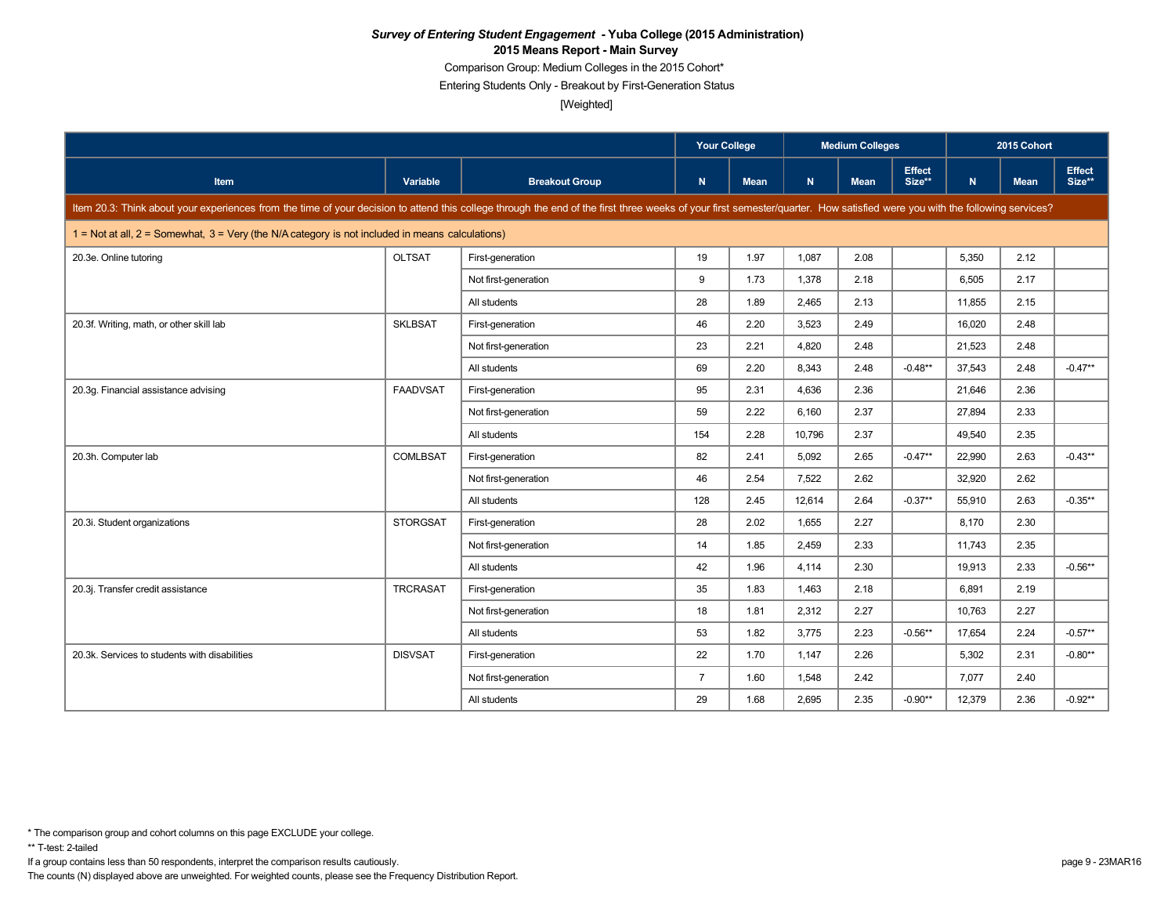Comparison Group: Medium Colleges in the 2015 Cohort\*

Entering Students Only - Breakout by First-Generation Status

[Weighted]

|                                                                                                                                                                                                                            |                                                                                                       | <b>Your College</b>   |                |             | <b>Medium Colleges</b> |             |                         | 2015 Cohort |             |                         |  |  |
|----------------------------------------------------------------------------------------------------------------------------------------------------------------------------------------------------------------------------|-------------------------------------------------------------------------------------------------------|-----------------------|----------------|-------------|------------------------|-------------|-------------------------|-------------|-------------|-------------------------|--|--|
| <b>Item</b>                                                                                                                                                                                                                | <b>Variable</b>                                                                                       | <b>Breakout Group</b> | $\mathsf{N}$   | <b>Mean</b> | N.                     | <b>Mean</b> | <b>Effect</b><br>Size** | N.          | <b>Mean</b> | <b>Effect</b><br>Size** |  |  |
| Item 20.3: Think about your experiences from the time of your decision to attend this college through the end of the first three weeks of your first semester/quarter. How satisfied were you with the following services? |                                                                                                       |                       |                |             |                        |             |                         |             |             |                         |  |  |
|                                                                                                                                                                                                                            | $1 =$ Not at all, $2 =$ Somewhat, $3 =$ Very (the N/A category is not included in means calculations) |                       |                |             |                        |             |                         |             |             |                         |  |  |
| 20.3e. Online tutoring                                                                                                                                                                                                     | <b>OLTSAT</b>                                                                                         | First-generation      | 19             | 1.97        | 1,087                  | 2.08        |                         | 5,350       | 2.12        |                         |  |  |
|                                                                                                                                                                                                                            |                                                                                                       | Not first-generation  | 9              | 1.73        | 1,378                  | 2.18        |                         | 6,505       | 2.17        |                         |  |  |
|                                                                                                                                                                                                                            |                                                                                                       | All students          | 28             | 1.89        | 2,465                  | 2.13        |                         | 11,855      | 2.15        |                         |  |  |
| 20.3f. Writing, math, or other skill lab                                                                                                                                                                                   | <b>SKLBSAT</b>                                                                                        | First-generation      | 46             | 2.20        | 3,523                  | 2.49        |                         | 16,020      | 2.48        |                         |  |  |
|                                                                                                                                                                                                                            |                                                                                                       | Not first-generation  | 23             | 2.21        | 4.820                  | 2.48        |                         | 21,523      | 2.48        |                         |  |  |
|                                                                                                                                                                                                                            |                                                                                                       | All students          | 69             | 2.20        | 8,343                  | 2.48        | $-0.48**$               | 37,543      | 2.48        | $-0.47**$               |  |  |
| 20.3g. Financial assistance advising                                                                                                                                                                                       | <b>FAADVSAT</b>                                                                                       | First-generation      | 95             | 2.31        | 4.636                  | 2.36        |                         | 21,646      | 2.36        |                         |  |  |
|                                                                                                                                                                                                                            |                                                                                                       | Not first-generation  | 59             | 2.22        | 6,160                  | 2.37        |                         | 27,894      | 2.33        |                         |  |  |
|                                                                                                                                                                                                                            |                                                                                                       | All students          | 154            | 2.28        | 10,796                 | 2.37        |                         | 49,540      | 2.35        |                         |  |  |
| 20.3h. Computer lab                                                                                                                                                                                                        | <b>COMLBSAT</b>                                                                                       | First-generation      | 82             | 2.41        | 5,092                  | 2.65        | $-0.47**$               | 22,990      | 2.63        | $-0.43**$               |  |  |
|                                                                                                                                                                                                                            |                                                                                                       | Not first-generation  | 46             | 2.54        | 7,522                  | 2.62        |                         | 32,920      | 2.62        |                         |  |  |
|                                                                                                                                                                                                                            |                                                                                                       | All students          | 128            | 2.45        | 12,614                 | 2.64        | $-0.37**$               | 55,910      | 2.63        | $-0.35**$               |  |  |
| 20.3i. Student organizations                                                                                                                                                                                               | <b>STORGSAT</b>                                                                                       | First-generation      | 28             | 2.02        | 1,655                  | 2.27        |                         | 8,170       | 2.30        |                         |  |  |
|                                                                                                                                                                                                                            |                                                                                                       | Not first-generation  | 14             | 1.85        | 2.459                  | 2.33        |                         | 11.743      | 2.35        |                         |  |  |
|                                                                                                                                                                                                                            |                                                                                                       | All students          | 42             | 1.96        | 4,114                  | 2.30        |                         | 19,913      | 2.33        | $-0.56**$               |  |  |
| 20.3j. Transfer credit assistance                                                                                                                                                                                          | <b>TRCRASAT</b>                                                                                       | First-generation      | 35             | 1.83        | 1,463                  | 2.18        |                         | 6,891       | 2.19        |                         |  |  |
|                                                                                                                                                                                                                            |                                                                                                       | Not first-generation  | 18             | 1.81        | 2,312                  | 2.27        |                         | 10,763      | 2.27        |                         |  |  |
|                                                                                                                                                                                                                            |                                                                                                       | All students          | 53             | 1.82        | 3,775                  | 2.23        | $-0.56**$               | 17,654      | 2.24        | $-0.57**$               |  |  |
| 20.3k. Services to students with disabilities                                                                                                                                                                              | <b>DISVSAT</b>                                                                                        | First-generation      | 22             | 1.70        | 1,147                  | 2.26        |                         | 5,302       | 2.31        | $-0.80**$               |  |  |
|                                                                                                                                                                                                                            |                                                                                                       | Not first-generation  | $\overline{7}$ | 1.60        | 1,548                  | 2.42        |                         | 7,077       | 2.40        |                         |  |  |
|                                                                                                                                                                                                                            |                                                                                                       | All students          | 29             | 1.68        | 2,695                  | 2.35        | $-0.90**$               | 12,379      | 2.36        | $-0.92**$               |  |  |

\*\* T-test: 2-tailed

If a group contains less than 50 respondents, interpret the comparison results cautiously. page 9 - 23MAR16

<sup>\*</sup> The comparison group and cohort columns on this page EXCLUDE your college.